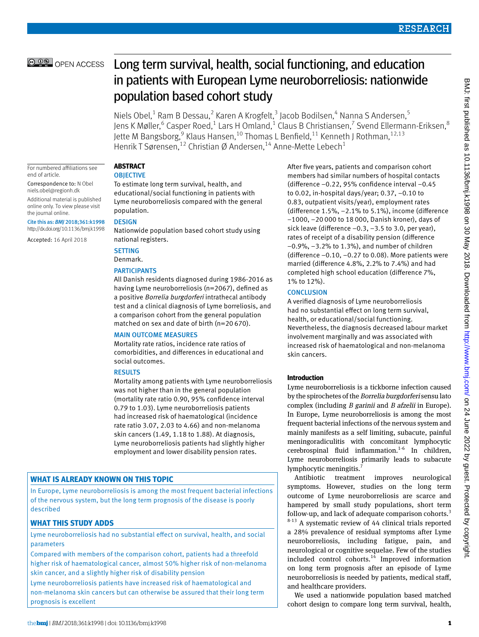# **@ 00 OPEN ACCESS**

# Long term survival, health, social functioning, and education in patients with European Lyme neuroborreliosis: nationwide population based cohort study

Niels Obel,<sup>1</sup> Ram B Dessau,<sup>2</sup> Karen A Krogfelt,<sup>3</sup> Jacob Bodilsen,<sup>4</sup> Nanna S Andersen,<sup>5</sup> Jens K Møller, $^6$  Casper Roed, $^1$  Lars H Omland, $^1$  Claus B Christiansen, $^7$  Svend Ellermann-Eriksen, $^8$ Jette M Bangsborg,<sup>9</sup> Klaus Hansen,<sup>10</sup> Thomas L Benfield,<sup>11</sup> Kenneth J Rothman,<sup>12,13</sup> Henrik T Sørensen,<sup>12</sup> Christian Ø Andersen,<sup>14</sup> Anne-Mette Lebech<sup>1</sup>

For numbered affiliations see end of article.

Correspondence to: N Obel [niels.obel@regionh.dk](mailto:niels.obel@regionh.dk)

Additional material is published online only. To view please visit the journal online.

Cite this as: *BMJ* 2018;361:k1998 http://dx.doi.org/10.1136/bmj.k1998

Accepted: 16 April 2018

# **ABSTRACT**

# **OBJECTIVE**

To estimate long term survival, health, and educational/social functioning in patients with Lyme neuroborreliosis compared with the general population.

# DESIGN

Nationwide population based cohort study using national registers.

**SETTING** 

Denmark.

# PARTICIPANTS

All Danish residents diagnosed during 1986-2016 as having Lyme neuroborreliosis (n=2067), defined as a positive Borrelia burgdorferi intrathecal antibody test and a clinical diagnosis of Lyme borreliosis, and a comparison cohort from the general population matched on sex and date of birth (n=20 670).

# MAIN OUTCOME MEASURES

Mortality rate ratios, incidence rate ratios of comorbidities, and differences in educational and social outcomes.

# **RESULTS**

Mortality among patients with Lyme neuroborreliosis was not higher than in the general population (mortality rate ratio 0.90, 95% confidence interval 0.79 to 1.03). Lyme neuroborreliosis patients had increased risk of haematological (incidence rate ratio 3.07, 2.03 to 4.66) and non-melanoma skin cancers (1.49, 1.18 to 1.88). At diagnosis, Lyme neuroborreliosis patients had slightly higher employment and lower disability pension rates.

# **What is already known on this topic**

In Europe, Lyme neuroborreliosis is among the most frequent bacterial infections of the nervous system, but the long term prognosis of the disease is poorly described

# **What this study adds**

Lyme neuroborreliosis had no substantial effect on survival, health, and social parameters

Compared with members of the comparison cohort, patients had a threefold higher risk of haematological cancer, almost 50% higher risk of non-melanoma skin cancer, and a slightly higher risk of disability pension

Lyme neuroborreliosis patients have increased risk of haematological and non-melanoma skin cancers but can otherwise be assured that their long term prognosis is excellent

After five years, patients and comparison cohort members had similar numbers of hospital contacts (difference −0.22, 95% confidence interval −0.45 to 0.02, in-hospital days/year; 0.37, −0.10 to 0.83, outpatient visits/year), employment rates (difference 1.5%, −2.1% to 5.1%), income (difference −1000, −20 000 to 18 000, Danish kroner), days of sick leave (difference −0.3, −3.5 to 3.0, per year), rates of receipt of a disability pension (difference −0.9%, −3.2% to 1.3%), and number of children (difference  $-0.10$ ,  $-0.27$  to 0.08). More patients were married (difference 4.8%, 2.2% to 7.4%) and had completed high school education (difference 7%, 1% to 12%).

# **CONCLUSION**

A verified diagnosis of Lyme neuroborreliosis had no substantial effect on long term survival, health, or educational/social functioning. Nevertheless, the diagnosis decreased labour market involvement marginally and was associated with increased risk of haematological and non-melanoma skin cancers.

# **Introduction**

Lyme neuroborreliosis is a tickborne infection caused by the spirochetes of the Borrelia burgdorferi sensu lato complex (including B garinii and B afzelii in Europe). In Europe, Lyme neuroborreliosis is among the most frequent bacterial infections of the nervous system and mainly manifests as a self limiting, subacute, painful meningoradiculitis with concomitant lymphocytic cerebrospinal fluid inflammation. $1-6$  In children, Lyme neuroborreliosis primarily leads to subacute lymphocytic meningitis.<sup>7</sup>

Antibiotic treatment improves neurological symptoms. However, studies on the long term outcome of Lyme neuroborreliosis are scarce and hampered by small study populations, short term follow-up, and lack of adequate comparison cohorts.<sup>3</sup> 8-13 A systematic review of 44 clinical trials reported a 28% prevalence of residual symptoms after Lyme neuroborreliosis, including fatigue, pain, and neurological or cognitive sequelae. Few of the studies included control cohorts.14 Improved information on long term prognosis after an episode of Lyme neuroborreliosis is needed by patients, medical staff, and healthcare providers.

We used a nationwide population based matched cohort design to compare long term survival, health,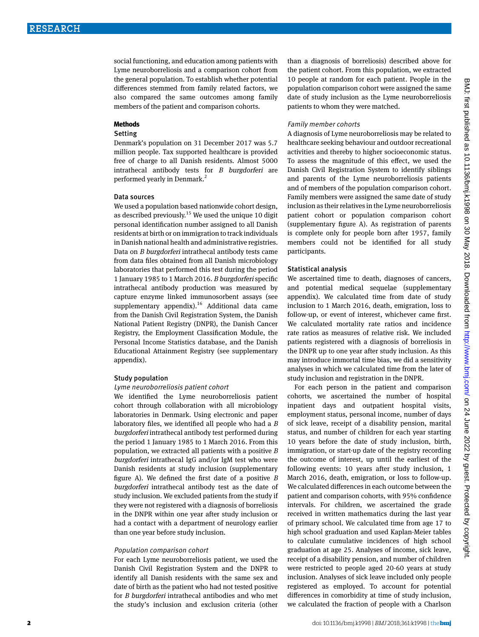social functioning, and education among patients with Lyme neuroborreliosis and a comparison cohort from the general population. To establish whether potential differences stemmed from family related factors, we also compared the same outcomes among family members of the patient and comparison cohorts.

### **Methods**

# Setting

Denmark's population on 31 December 2017 was 5.7 million people. Tax supported healthcare is provided free of charge to all Danish residents. Almost 5000 intrathecal antibody tests for B burgdorferi are performed yearly in Denmark.<sup>2</sup>

# Data sources

We used a population based nationwide cohort design, as described previously.<sup>15</sup> We used the unique 10 digit personal identification number assigned to all Danish residents at birth or on immigration to track individuals in Danish national health and administrative registries. Data on B burgdorferi intrathecal antibody tests came from data files obtained from all Danish microbiology laboratories that performed this test during the period 1 January 1985 to 1 March 2016. B burgdorferi specific intrathecal antibody production was measured by capture enzyme linked immunosorbent assays (see supplementary appendix).<sup>16</sup> Additional data came from the Danish Civil Registration System, the Danish National Patient Registry (DNPR), the Danish Cancer Registry, the Employment Classification Module, the Personal Income Statistics database, and the Danish Educational Attainment Registry (see supplementary appendix).

# Study population

#### Lyme neuroborreliosis patient cohort

We identified the Lyme neuroborreliosis patient cohort through collaboration with all microbiology laboratories in Denmark. Using electronic and paper laboratory files, we identified all people who had a <sup>B</sup> burgdorferi intrathecal antibody test performed during the period 1 January 1985 to 1 March 2016. From this population, we extracted all patients with a positive  $B$ burgdorferi intrathecal IgG and/or IgM test who were Danish residents at study inclusion (supplementary figure A). We defined the first date of a positive  $B$ burgdorferi intrathecal antibody test as the date of study inclusion. We excluded patients from the study if they were not registered with a diagnosis of borreliosis in the DNPR within one year after study inclusion or had a contact with a department of neurology earlier than one year before study inclusion.

# Population comparison cohort

For each Lyme neuroborreliosis patient, we used the Danish Civil Registration System and the DNPR to identify all Danish residents with the same sex and date of birth as the patient who had not tested positive for B burgdorferi intrathecal antibodies and who met the study's inclusion and exclusion criteria (other

than a diagnosis of borreliosis) described above for the patient cohort. From this population, we extracted 10 people at random for each patient. People in the population comparison cohort were assigned the same date of study inclusion as the Lyme neuroborreliosis patients to whom they were matched.

### Family member cohorts

A diagnosis of Lyme neuroborreliosis may be related to healthcare seeking behaviour and outdoor recreational activities and thereby to higher socioeconomic status. To assess the magnitude of this effect, we used the Danish Civil Registration System to identify siblings and parents of the Lyme neuroborreliosis patients and of members of the population comparison cohort. Family members were assigned the same date of study inclusion as their relatives in the Lyme neuroborreliosis patient cohort or population comparison cohort (supplementary figure A). As registration of parents is complete only for people born after 1957, family members could not be identified for all study participants.

# Statistical analysis

We ascertained time to death, diagnoses of cancers, and potential medical sequelae (supplementary appendix). We calculated time from date of study inclusion to 1 March 2016, death, emigration, loss to follow-up, or event of interest, whichever came first. We calculated mortality rate ratios and incidence rate ratios as measures of relative risk. We included patients registered with a diagnosis of borreliosis in the DNPR up to one year after study inclusion. As this may introduce immortal time bias, we did a sensitivity analyses in which we calculated time from the later of study inclusion and registration in the DNPR.

For each person in the patient and comparison cohorts, we ascertained the number of hospital inpatient days and outpatient hospital visits, employment status, personal income, number of days of sick leave, receipt of a disability pension, marital status, and number of children for each year starting 10 years before the date of study inclusion, birth, immigration, or start-up date of the registry recording the outcome of interest, up until the earliest of the following events: 10 years after study inclusion, 1 March 2016, death, emigration, or loss to follow-up. We calculated differences in each outcome between the patient and comparison cohorts, with 95% confidence intervals. For children, we ascertained the grade received in written mathematics during the last year of primary school. We calculated time from age 17 to high school graduation and used Kaplan-Meier tables to calculate cumulative incidences of high school graduation at age 25. Analyses of income, sick leave, receipt of a disability pension, and number of children were restricted to people aged 20-60 years at study inclusion. Analyses of sick leave included only people registered as employed. To account for potential differences in comorbidity at time of study inclusion, we calculated the fraction of people with a Charlson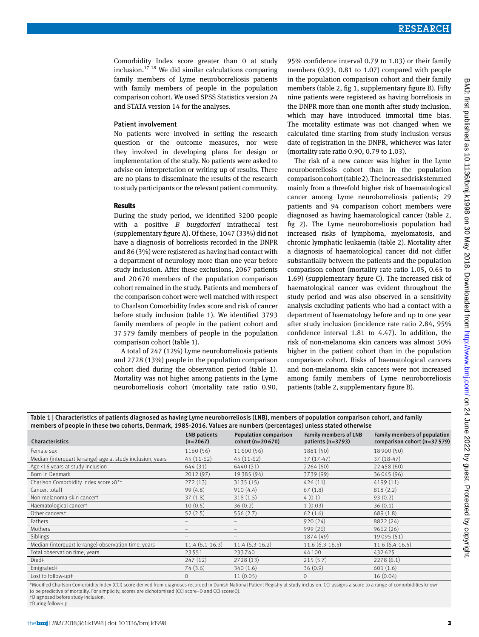Comorbidity Index score greater than 0 at study inclusion.17 18 We did similar calculations comparing family members of Lyme neuroborreliosis patients with family members of people in the population comparison cohort. We used SPSS Statistics version 24 and STATA version 14 for the analyses.

# Patient involvement

No patients were involved in setting the research question or the outcome measures, nor were they involved in developing plans for design or implementation of the study. No patients were asked to advise on interpretation or writing up of results. There are no plans to disseminate the results of the research to study participants or the relevant patient community.

# **Results**

During the study period, we identified 3200 people with a positive  $B$  burgdorferi intrathecal test (supplementary figure A). Of these, 1047 (33%) did not have a diagnosis of borreliosis recorded in the DNPR and 86 (3%) were registered as having had contact with a department of neurology more than one year before study inclusion. After these exclusions, 2067 patients and 20 670 members of the population comparison cohort remained in the study. Patients and members of the comparison cohort were well matched with respect to Charlson Comorbidity Index score and risk of cancer before study inclusion (table 1). We identified 3793 family members of people in the patient cohort and 37 579 family members of people in the population comparison cohort (table 1).

A total of 247 (12%) Lyme neuroborreliosis patients and 2728 (13%) people in the population comparison cohort died during the observation period (table 1). Mortality was not higher among patients in the Lyme neuroborreliosis cohort (mortality rate ratio 0.90, 95% confidence interval 0.79 to 1.03) or their family members (0.93, 0.81 to 1.07) compared with people in the population comparison cohort and their family members (table 2, fig 1, supplementary figure B). Fifty nine patients were registered as having borreliosis in the DNPR more than one month after study inclusion, which may have introduced immortal time bias. The mortality estimate was not changed when we calculated time starting from study inclusion versus date of registration in the DNPR, whichever was later (mortality rate ratio 0.90, 0.79 to 1.03).

The risk of a new cancer was higher in the Lyme neuroborreliosis cohort than in the population comparison cohort (table 2). The increased risk stemmed mainly from a threefold higher risk of haematological cancer among Lyme neuroborreliosis patients; 29 patients and 94 comparison cohort members were diagnosed as having haematological cancer (table 2, fig 2). The Lyme neuroborreliosis population had increased risks of lymphoma, myelomatosis, and chronic lymphatic leukaemia (table 2). Mortality after a diagnosis of haematological cancer did not differ substantially between the patients and the population comparison cohort (mortality rate ratio 1.05, 0.65 to 1.69) (supplementary figure C). The increased risk of haematological cancer was evident throughout the study period and was also observed in a sensitivity analysis excluding patients who had a contact with a department of haematology before and up to one year after study inclusion (incidence rate ratio 2.84, 95% confidence interval 1.81 to 4.47). In addition, the risk of non-melanoma skin cancers was almost 50% higher in the patient cohort than in the population comparison cohort. Risks of haematological cancers and non-melanoma skin cancers were not increased among family members of Lyme neuroborreliosis patients (table 2, supplementary figure B).

Table 1 | Characteristics of patients diagnosed as having Lyme neuroborreliosis (LNB), members of population comparison cohort, and family members of people in these two cohorts, Denmark, 1985-2016. Values are numbers (percentages) unless stated otherwise

| <b>LNB</b> patients<br>$(n=2067)$ | <b>Population comparison</b><br>cohort (n=20670) | <b>Family members of LNB</b><br>patients $(n=3793)$ | Family members of population<br>comparison cohort (n=37 579) |  |  |  |  |  |  |
|-----------------------------------|--------------------------------------------------|-----------------------------------------------------|--------------------------------------------------------------|--|--|--|--|--|--|
| 1160 (56)                         | 11600 (56)                                       | 1881 (50)                                           | 18 900 (50)                                                  |  |  |  |  |  |  |
| $45(11-62)$                       | $45(11-62)$                                      | $37(17-47)$                                         | 37 (18-47)                                                   |  |  |  |  |  |  |
| 644 (31)                          | 6440 (31)                                        | 2264(60)                                            | 22 458 (60)                                                  |  |  |  |  |  |  |
| 2012(97)                          | 19 385 (94)                                      | 3739 (99)                                           | 36045 (96)                                                   |  |  |  |  |  |  |
| 272(13)                           | 3135 (15)                                        | 426(11)                                             | 4199 (11)                                                    |  |  |  |  |  |  |
| 99(4.8)                           | 910(4.4)                                         | 67(1.8)                                             | 818(2.2)                                                     |  |  |  |  |  |  |
| 37(1.8)                           | 318(1.5)                                         | 4(0.1)                                              | 93(0.2)                                                      |  |  |  |  |  |  |
| 10(0.5)                           | 36(0.2)                                          | 1(0.03)                                             | 36(0.1)                                                      |  |  |  |  |  |  |
| 52(2.5)                           | 556(2.7)                                         | 62(1.6)                                             | 689 (1.8)                                                    |  |  |  |  |  |  |
| $\hspace{1.0cm} - \hspace{1.0cm}$ | $\hspace{1.0cm} - \hspace{1.0cm}$                | 920 (24)                                            | 8822 (24)                                                    |  |  |  |  |  |  |
| $\qquad \qquad -$                 |                                                  | 999 (26)                                            | 9662(26)                                                     |  |  |  |  |  |  |
|                                   |                                                  | 1874 (49)                                           | 19095 (51)                                                   |  |  |  |  |  |  |
| $11.4(6.1-16.3)$                  | $11.4(6.3-16.2)$                                 | $11.6(6.3-16.5)$                                    | $11.6(6.4-16.5)$                                             |  |  |  |  |  |  |
| 23551                             | 233740                                           | 44100                                               | 432625                                                       |  |  |  |  |  |  |
| 247(12)                           | 2728(13)                                         | 215(5.7)                                            | 2278(6.1)                                                    |  |  |  |  |  |  |
| 74 (3.6)                          | 340 (1.6)                                        | 36(0.9)                                             | 601(1.6)                                                     |  |  |  |  |  |  |
| 0                                 | 11(0.05)                                         | $\mathbf{0}$                                        | 16(0.04)                                                     |  |  |  |  |  |  |
|                                   |                                                  |                                                     |                                                              |  |  |  |  |  |  |

\*Modified Charlson Comorbidity Index (CCI) score derived from diagnoses recorded in Danish National Patient Registry at study inclusion. CCI assigns a score to a range of comorbidities known to be predictive of mortality. For simplicity, scores are dichotomised (CCI score=0 and CCI score>0) †Diagnosed before study inclusion.

‡During follow-up.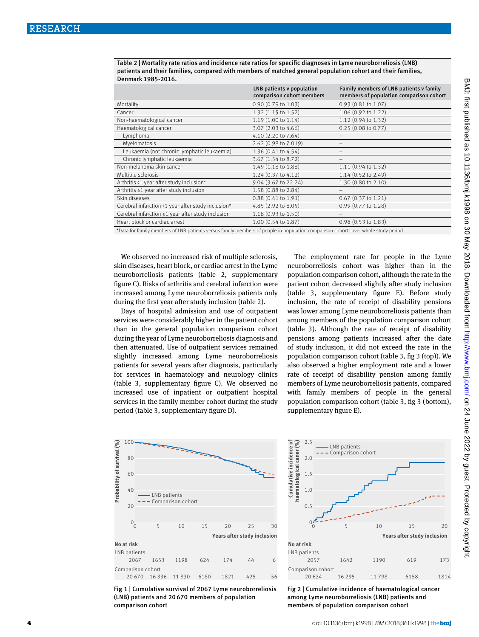|                                                    | LNB patients v population<br>comparison cohort members | Family members of LNB patients v family<br>members of population comparison cohort |
|----------------------------------------------------|--------------------------------------------------------|------------------------------------------------------------------------------------|
| Mortality                                          | 0.90 (0.79 to 1.03)                                    | 0.93 (0.81 to 1.07)                                                                |
| Cancer                                             | 1.32 (1.15 to 1.52)                                    | 1.06 (0.92 to 1.22)                                                                |
| Non-haematological cancer                          | 1.19 (1.00 to 1.14)                                    | 1.12 (0.94 to 1.32)                                                                |
| Haematological cancer                              | 3.07 (2.03 to 4.66)                                    | 0.25 (0.08 to 0.77)                                                                |
| Lymphoma                                           | 4.10 (2.20 to 7.64)                                    |                                                                                    |
| Myelomatosis                                       | 2.62 (0.98 to 7.019)                                   |                                                                                    |
| Leukaemia (not chronic lymphatic leukaemia)        | 1.36 (0.41 to 4.54)                                    |                                                                                    |
| Chronic lymphatic leukaemia                        | 3.67 (1.54 to 8.72)                                    |                                                                                    |
| Non-melanoma skin cancer                           | 1.49 (1.18 to 1.88)                                    | 1.11 (0.94 to 1.32)                                                                |
| Multiple sclerosis                                 | 1.24 (0.37 to 4.12)                                    | 1.14 (0.52 to 2.49)                                                                |
| Arthritis <1 year after study inclusion*           | 9.04 (3.67 to 22.24)                                   | 1.30 (0.80 to 2.10)                                                                |
| Arthritis ≥1 year after study inclusion            | 1.58 (0.88 to 2.84)                                    |                                                                                    |
| Skin diseases                                      | 0.88 (0.41 to 1.91)                                    | 0.67 (0.37 to 1.21)                                                                |
| Cerebral infarction <1 year after study inclusion* | 4.85 (2.92 to 8.05)                                    | 0.99 (0.77 to 1.28)                                                                |
| Cerebral infarction ≥1 year after study inclusion  | 1.18 (0.93 to 1.50)                                    |                                                                                    |
| Heart block or cardiac arrest                      | 1.00 (0.54 to 1.87)                                    | 0.98 (0.53 to 1.83)                                                                |

Table 2 | Mortality rate ratios and incidence rate ratios for specific diagnoses in Lyme neuroborreliosis (LNB) patients and their families, compared with members of matched general population cohort and their families, Denmark 1985-2016.

\*Data for family members of LNB patients versus family members of people in population comparison cohort cover whole study period.

We observed no increased risk of multiple sclerosis, skin diseases, heart block, or cardiac arrest in the Lyme neuroborreliosis patients (table 2, supplementary figure C). Risks of arthritis and cerebral infarction were increased among Lyme neuroborreliosis patients only during the first year after study inclusion (table 2).

Days of hospital admission and use of outpatient services were considerably higher in the patient cohort than in the general population comparison cohort during the year of Lyme neuroborreliosis diagnosis and then attenuated. Use of outpatient services remained slightly increased among Lyme neuroborreliosis patients for several years after diagnosis, particularly for services in haematology and neurology clinics (table 3, supplementary figure C). We observed no increased use of inpatient or outpatient hospital services in the family member cohort during the study period (table 3, supplementary figure D).

The employment rate for people in the Lyme neuroborreliosis cohort was higher than in the population comparison cohort, although the rate in the patient cohort decreased slightly after study inclusion (table 3, supplementary figure E). Before study inclusion, the rate of receipt of disability pensions was lower among Lyme neuroborreliosis patients than among members of the population comparison cohort (table 3). Although the rate of receipt of disability pensions among patients increased after the date of study inclusion, it did not exceed the rate in the population comparison cohort (table 3, fig 3 (top)). We also observed a higher employment rate and a lower rate of receipt of disability pension among family members of Lyme neuroborreliosis patients, compared with family members of people in the general population comparison cohort (table 3, fig 3 (bottom), supplementary figure E).



Fig 1 | Cumulative survival of 2067 Lyme neuroborreliosis (LNB) patients and 20 670 members of population comparison cohort



Fig 2 | Cumulative incidence of haematological cancer among Lyme neuroborreliosis (LNB) patients and members of population comparison cohort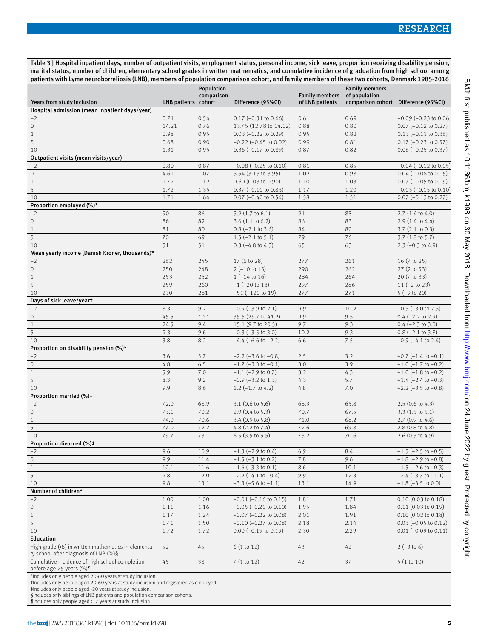Table 3 | Hospital inpatient days, number of outpatient visits, employment status, personal income, sick leave, proportion receiving disability pension, marital status, number of children, elementary school grades in written mathematics, and cumulative incidence of graduation from high school among patients with Lyme neuroborreliosis (LNB), members of population comparison cohort, and family members of these two cohorts, Denmark 1985-2016

|                                                                                              |                     | Population   |                                                          |                                          | <b>Family members</b> |                                                           |
|----------------------------------------------------------------------------------------------|---------------------|--------------|----------------------------------------------------------|------------------------------------------|-----------------------|-----------------------------------------------------------|
| Years from study inclusion                                                                   | LNB patients cohort | comparison   | Difference (95%CI)                                       | <b>Family members</b><br>of LNB patients | of population         | comparison cohort Difference (95%CI)                      |
| Hospital admission (mean inpatient days/year)                                                |                     |              |                                                          |                                          |                       |                                                           |
| $-2$                                                                                         | 0.71                | 0.54         | $0.17$ (-0.31 to 0.66)                                   | 0.61                                     | 0.69                  | $-0.09$ $(-0.23$ to 0.06)                                 |
| $\circ$                                                                                      | 14.21               | 0.76         | 13.45 (12.78 to 14.12)                                   | 0.88                                     | 0.80                  | $0.07$ (-0.12 to 0.27)                                    |
| $\,1\,$                                                                                      | 0.98                | 0.95         | $0.03$ (-0.22 to 0.29)                                   | 0.95                                     | 0.82                  | $0.13$ (-0.11 to 0.36)                                    |
| 5                                                                                            | 0.68                | 0.90         | $-0.22$ ( $-0.45$ to 0.02)                               | 0.99                                     | 0.81                  | $0.17$ (-0.23 to 0.57)                                    |
| 10                                                                                           | 1.31                | 0.95         | $0.36$ (-0.17 to 0.89)                                   | 0.87                                     | 0.82                  | $0.06$ (-0.25 to 0.37)                                    |
| Outpatient visits (mean visits/year)                                                         |                     |              |                                                          |                                          |                       |                                                           |
| $-2$                                                                                         | 0.80                | 0.87         | $-0.08$ $(-0.25$ to 0.10)                                | 0.81                                     | 0.85                  | $-0.04$ $(-0.12$ to 0.05)                                 |
| $\circ$                                                                                      | 4.61                | 1.07         | 3.54 (3.13 to 3.95)                                      | 1.02                                     | 0.98                  | $0.04 (-0.08 \text{ to } 0.15)$                           |
| $\mathbf{1}$                                                                                 | 1.72                | 1.12         | $0.60$ $(0.03$ to $0.90)$                                | 1.10                                     | 1.03                  | $0.07$ (-0.05 to 0.19)                                    |
| 5                                                                                            | 1.72                | 1.35         | $0.37$ (-0.10 to 0.83)                                   | 1.17                                     | 1.20                  | $-0.03$ ( $-0.15$ to 0.10)                                |
| 10                                                                                           | 1.71                | 1.64         | $0.07$ (-0.40 to 0.54)                                   | 1.58                                     | 1.51                  | $0.07$ (-0.13 to 0.27)                                    |
| Proportion employed (%)*                                                                     |                     |              |                                                          |                                          |                       |                                                           |
| $-2$                                                                                         | 90                  | 86           | $3.9(1.7 \text{ to } 6.1)$                               | 91                                       | 88                    | $2.7$ $(1.4$ to $4.0)$                                    |
| $\circ$                                                                                      | 86                  | 82           | $3.6(1.1 \text{ to } 6.2)$                               | 86                                       | 83                    | $2.9(1.4 \text{ to } 4.4)$                                |
| $\mathbf{1}$                                                                                 | 81                  | 80           | $0.8$ (-2.1 to 3.6)                                      | 84                                       | 80                    | 3.7 (2.1 to 0.3)                                          |
| 5<br>10                                                                                      | 70                  | 69           | $1.5$ (-2.1 to 5.1)                                      | 79                                       | 76                    | $3.7$ (1.8 to 5.7)                                        |
|                                                                                              | 51                  | 51           | $0.3$ (-4.8 to 4.3)                                      | 65                                       | 63                    | $2.3$ (-0.3 to 4.9)                                       |
| Mean yearly income (Danish Kroner, thousands)*<br>$-2$                                       | 262                 | 245          | 17 (6 to 28)                                             | 277                                      | 261                   | 16 (7 to 25)                                              |
| $\circ$                                                                                      | 250                 | 248          | $2(-10 \text{ to } 15)$                                  | 290                                      | 262                   | 27 (2 to 53)                                              |
| $\mathbf{1}$                                                                                 | 253                 | 252          | $1(-14 \text{ to } 16)$                                  | 284                                      | 264                   | 20 (7 to 33)                                              |
| 5                                                                                            | 259                 | 260          | $-1$ ( $-20$ to 18)                                      | 297                                      | 286                   | 11 $(-2 to 23)$                                           |
| 10                                                                                           | 230                 | 281          | $-51$ ( $-120$ to 19)                                    | 277                                      | 271                   | $5(-9 to 20)$                                             |
| Days of sick leave/yeart                                                                     |                     |              |                                                          |                                          |                       |                                                           |
| $-2$                                                                                         | 8.3                 | 9.2          | $-0.9$ ( $-3.9$ to 2.1)                                  | 9.9                                      | 10.2                  | $-0.3$ ( $-3.0$ to 2.3)                                   |
| $\mathbf{0}$                                                                                 | 45.5                | 10.1         | 35.5 (29.7 to 41.2)                                      | 9.9                                      | 9.5                   | $0.4$ (-2.2 to 2.9)                                       |
| $\,1\,$                                                                                      | 24.5                | 9.4          | 15.1 (9.7 to 20.5)                                       | 9.7                                      | 9.3                   | $0.4 (-2.3 to 3.0)$                                       |
| 5                                                                                            | 9.3                 | 9.6          | $-0.3$ ( $-3.5$ to 3.0)                                  | 10.2                                     | 9.3                   | $0.8$ ( $-2.1$ to 3.8)                                    |
| 10                                                                                           | 3.8                 | 8.2          | $-4.4$ (-6.6 to $-2.2$ )                                 | 6.6                                      | 7.5                   | $-0.9$ ( $-4.1$ to 2.4)                                   |
| Proportion on disability pension (%)*                                                        |                     |              |                                                          |                                          |                       |                                                           |
| $-2$                                                                                         | 3.6                 | 5.7          | $-2.2$ ( $-3.6$ to $-0.8$ )                              | 2.5                                      | 3.2                   | $-0.7$ $(-1.4$ to $-0.1)$                                 |
| $\circ$                                                                                      | 4.8                 | 6.5          | $-1.7$ ( $-3.3$ to $-0.1$ )                              | 3.0                                      | 3.9                   | $-1.0$ (-1.7 to $-0.2$ )                                  |
| $\,1\,$                                                                                      | 5.9                 | 7.0          | $-1.1$ ( $-2.9$ to 0.7)                                  | 3.2                                      | 4.3                   | $-1.0$ ( $-1.8$ to $-0.2$ )                               |
| 5                                                                                            | 8.3                 | 9.2          | $-0.9$ ( $-3.2$ to 1.3)                                  | 4.3                                      | 5.7                   | $-1.4$ (-2.4 to -0.3)                                     |
| 10                                                                                           | 9.9                 | 8.6          | $1.2$ (-1.7 to 4.2)                                      | 4.8                                      | 7.0                   | $-2.2$ ( $-3.5$ to $-0.8$ )                               |
| Proportion married (%)#                                                                      |                     |              |                                                          |                                          |                       |                                                           |
| $-2$                                                                                         | 72.0                | 68.9         | 3.1 (0.6 to 5.6)                                         | 68.3                                     | 65.8                  | $2.5$ (0.6 to 4.3)                                        |
| $\circ$                                                                                      | 73.1                | 70.2         | $2.9$ (0.4 to 5.3)                                       | 70.7                                     | 67.5                  | $3.3(1.5 \text{ to } 5.1)$                                |
| $\mathbf{1}$                                                                                 | 74.0                | 70.6         | 3.4 (0.9 to 5.8)                                         | 71.0                                     | 68.2                  | 2.7 (0.9 to 4.6)                                          |
| 5                                                                                            | 77.0                | 72.2         | 4.8 (2.2 to 7.4)                                         | 72.6                                     | 69.8                  | 2.8 (0.8 to 4.8)                                          |
| 10                                                                                           | 79.7                | 73.1         | 6.5 $(3.5 \text{ to } 9.5)$                              | 73.2                                     | 70.6                  | $2.6$ (0.3 to 4.9)                                        |
| Proportion divorced (%)#                                                                     |                     |              |                                                          |                                          |                       |                                                           |
| $-2$                                                                                         | 9.6                 | 10.9         | $-1.3$ ( $-2.9$ to 0.4)                                  | 6.9                                      | 8.4                   | $-1.5$ ( $-2.5$ to $-0.5$ )                               |
| $\circ$                                                                                      | 9.9                 | 11.4         | $-1.5$ ( $-3.1$ to 0.2)                                  | 7.8                                      | 9.6                   | $-1.8$ ( $-2.9$ to $-0.8$ )                               |
| $\mathbf{1}$                                                                                 | 10.1                | 11.6         | $-1.6$ ( $-3.3$ to 0.1)                                  | 8.6                                      | 10.1                  | $-1.5$ ( $-2.6$ to $-0.3$ )                               |
| 5                                                                                            | 9.8                 | 12.0         | $-2.2$ ( $-4.1$ to $-0.4$ )                              | 9.9                                      | 12.3                  | $-2.4$ ( $-3.7$ to $-1.1$ )                               |
| 10<br>Number of children*                                                                    | 9.8                 | 13.1         | $-3.3$ ( $-5.6$ to $-1.1$ )                              | 13.1                                     | 14.9                  | $-1.8$ ( $-3.5$ to 0.0)                                   |
| $-2$                                                                                         | 1.00                | 1.00         |                                                          | 1.81                                     | 1.71                  |                                                           |
| $\mathsf O$                                                                                  |                     |              | $-0.01$ $(-0.16$ to 0.15)                                |                                          |                       | 0.10(0.03 to 0.18)                                        |
| $\,1\,$                                                                                      | 1.11<br>1.17        | 1.16<br>1.24 | $-0.05$ ( $-0.20$ to 0.10)<br>$-0.07$ ( $-0.22$ to 0.08) | 1.95<br>2.01                             | 1.84<br>1.91          | 0.11(0.03 to 0.19)<br>$0.10(0.02 \text{ to } 0.18)$       |
| 5                                                                                            |                     | 1.50         |                                                          |                                          |                       |                                                           |
| 10                                                                                           | 1.41<br>1.72        | 1.72         | $-0.10$ $(-0.27$ to 0.08)<br>$0.00$ (-0.19 to 0.19)      | 2.18<br>2.30                             | 2.14<br>2.29          | $0.03$ (-0.05 to 0.12)<br>$0.01 (-0.09 \text{ to } 0.11)$ |
| Education                                                                                    |                     |              |                                                          |                                          |                       |                                                           |
| High grade (>8) in written mathematics in elementa-<br>ry school after diagnosis of LNB (%)§ | 52                  | 45           | 6 (1 to 12)                                              | 43                                       | 42                    | $2(-3 to 6)$                                              |
| Cumulative incidence of high school completion<br>before age 25 years (%)¶                   | 45                  | 38           | 7 (1 to 12)                                              | 42                                       | 37                    | 5 (1 to 10)                                               |

\*Includes only people aged 20-60 years at study inclusion.

†Includes only people aged 20-60 years at study inclusion and registered as employed.

‡Includes only people aged >20 years at study inclusion.

§Includes only siblings of LNB patients and population comparison cohorts. ¶Includes only people aged <17 years at study inclusion.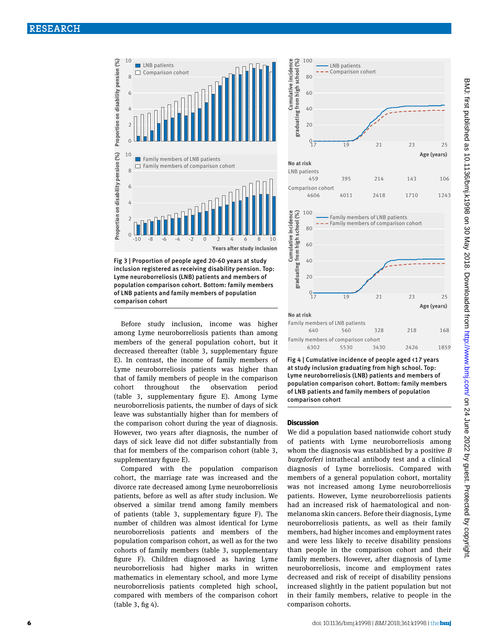

Fig 3 | Proportion of people aged 20-60 years at study inclusion registered as receiving disability pension. Top: Lyme neuroborreliosis (LNB) patients and members of population comparison cohort. Bottom: family members of LNB patients and family members of population comparison cohort

Before study inclusion, income was higher among Lyme neuroborreliosis patients than among members of the general population cohort, but it decreased thereafter (table 3, supplementary figure E). In contrast, the income of family members of Lyme neuroborreliosis patients was higher than that of family members of people in the comparison cohort throughout the observation period (table 3, supplementary figure E). Among Lyme neuroborreliosis patients, the number of days of sick leave was substantially higher than for members of the comparison cohort during the year of diagnosis. However, two years after diagnosis, the number of days of sick leave did not differ substantially from that for members of the comparison cohort (table 3, supplementary figure E).

Compared with the population comparison cohort, the marriage rate was increased and the divorce rate decreased among Lyme neuroborreliosis patients, before as well as after study inclusion. We observed a similar trend among family members of patients (table 3, supplementary figure F). The number of children was almost identical for Lyme neuroborreliosis patients and members of the population comparison cohort, as well as for the two cohorts of family members (table 3, supplementary figure F). Children diagnosed as having Lyme neuroborreliosis had higher marks in written mathematics in elementary school, and more Lyme neuroborreliosis patients completed high school, compared with members of the comparison cohort (table 3, fig 4).



Fig 4 | Cumulative incidence of people aged <17 years at study inclusion graduating from high school. Top: Lyme neuroborreliosis (LNB) patients and members of population comparison cohort. Bottom: family members of LNB patients and family members of population comparison cohort

#### **Discussion**

We did a population based nationwide cohort study of patients with Lyme neuroborreliosis among whom the diagnosis was established by a positive B burgdorferi intrathecal antibody test and a clinical diagnosis of Lyme borreliosis. Compared with members of a general population cohort, mortality was not increased among Lyme neuroborreliosis patients. However, Lyme neuroborreliosis patients had an increased risk of haematological and nonmelanoma skin cancers. Before their diagnosis, Lyme neuroborreliosis patients, as well as their family members, had higher incomes and employment rates and were less likely to receive disability pensions than people in the comparison cohort and their family members. However, after diagnosis of Lyme neuroborreliosis, income and employment rates decreased and risk of receipt of disability pensions increased slightly in the patient population but not in their family members, relative to people in the comparison cohorts.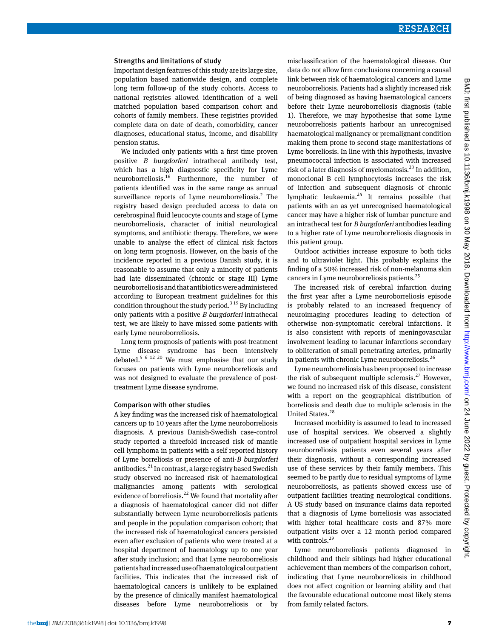# Strengths and limitations of study

Important design features of this study are its large size, population based nationwide design, and complete long term follow-up of the study cohorts. Access to national registries allowed identification of a well matched population based comparison cohort and cohorts of family members. These registries provided complete data on date of death, comorbidity, cancer diagnoses, educational status, income, and disability pension status.

We included only patients with a first time proven positive B burgdorferi intrathecal antibody test, which has a high diagnostic specificity for Lyme neuroborreliosis.16 Furthermore, the number of patients identified was in the same range as annual surveillance reports of Lyme neuroborreliosis. $2$  The registry based design precluded access to data on cerebrospinal fluid leucocyte counts and stage of Lyme neuroborreliosis, character of initial neurological symptoms, and antibiotic therapy. Therefore, we were unable to analyse the effect of clinical risk factors on long term prognosis. However, on the basis of the incidence reported in a previous Danish study, it is reasonable to assume that only a minority of patients had late disseminated (chronic or stage III) Lyme neuroborreliosis and that antibiotics were administered according to European treatment guidelines for this condition throughout the study period.<sup>3 19</sup> By including only patients with a positive B burgdorferi intrathecal test, we are likely to have missed some patients with early Lyme neuroborreliosis.

Long term prognosis of patients with post-treatment Lyme disease syndrome has been intensively debated.5 6 12 20 We must emphasise that our study focuses on patients with Lyme neuroborreliosis and was not designed to evaluate the prevalence of posttreatment Lyme disease syndrome.

#### Comparison with other studies

A key finding was the increased risk of haematological cancers up to 10 years after the Lyme neuroborreliosis diagnosis. A previous Danish-Swedish case-control study reported a threefold increased risk of mantle cell lymphoma in patients with a self reported history of Lyme borreliosis or presence of anti-B burgdorferi antibodies.21 In contrast, a large registry based Swedish study observed no increased risk of haematological malignancies among patients with serological evidence of borreliosis.<sup>22</sup> We found that mortality after a diagnosis of haematological cancer did not differ substantially between Lyme neuroborreliosis patients and people in the population comparison cohort; that the increased risk of haematological cancers persisted even after exclusion of patients who were treated at a hospital department of haematology up to one year after study inclusion; and that Lyme neuroborreliosis patients had increased use of haematological outpatient facilities. This indicates that the increased risk of haematological cancers is unlikely to be explained by the presence of clinically manifest haematological diseases before Lyme neuroborreliosis or by

misclassification of the haematological disease. Our data do not allow firm conclusions concerning a causal link between risk of haematological cancers and Lyme neuroborreliosis. Patients had a slightly increased risk of being diagnosed as having haematological cancers before their Lyme neuroborreliosis diagnosis (table 1). Therefore, we may hypothesise that some Lyme neuroborreliosis patients harbour an unrecognised haematological malignancy or premalignant condition making them prone to second stage manifestations of Lyme borreliosis. In line with this hypothesis, invasive pneumococcal infection is associated with increased risk of a later diagnosis of myelomatosis.<sup>23</sup> In addition, monoclonal B cell lymphocytosis increases the risk of infection and subsequent diagnosis of chronic lymphatic leukaemia. $24$  It remains possible that patients with an as yet unrecognised haematological cancer may have a higher risk of lumbar puncture and an intrathecal test for B burgdorferi antibodies leading to a higher rate of Lyme neuroborreliosis diagnosis in this patient group.

Outdoor activities increase exposure to both ticks and to ultraviolet light. This probably explains the finding of a 50% increased risk of non-melanoma skin cancers in Lyme neuroborreliosis patients.<sup>25</sup>

The increased risk of cerebral infarction during the first year after a Lyme neuroborreliosis episode is probably related to an increased frequency of neuroimaging procedures leading to detection of otherwise non-symptomatic cerebral infarctions. It is also consistent with reports of meningovascular involvement leading to lacunar infarctions secondary to obliteration of small penetrating arteries, primarily in patients with chronic Lyme neuroborreliosis.<sup>26</sup>

Lyme neuroborreliosis has been proposed to increase the risk of subsequent multiple sclerosis.<sup>27</sup> However, we found no increased risk of this disease, consistent with a report on the geographical distribution of borreliosis and death due to multiple sclerosis in the United States.<sup>28</sup>

Increased morbidity is assumed to lead to increased use of hospital services. We observed a slightly increased use of outpatient hospital services in Lyme neuroborreliosis patients even several years after their diagnosis, without a corresponding increased use of these services by their family members. This seemed to be partly due to residual symptoms of Lyme neuroborreliosis, as patients showed excess use of outpatient facilities treating neurological conditions. A US study based on insurance claims data reported that a diagnosis of Lyme borreliosis was associated with higher total healthcare costs and 87% more outpatient visits over a 12 month period compared with controls.<sup>29</sup>

Lyme neuroborreliosis patients diagnosed in childhood and their siblings had higher educational achievement than members of the comparison cohort, indicating that Lyme neuroborreliosis in childhood does not affect cognition or learning ability and that the favourable educational outcome most likely stems from family related factors.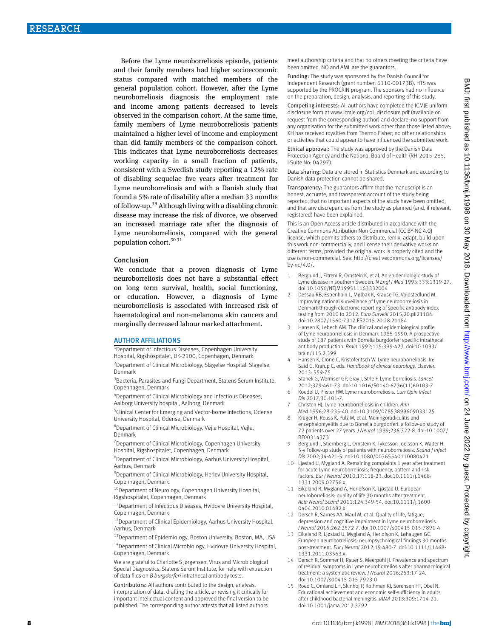Before the Lyme neuroborreliosis episode, patients and their family members had higher socioeconomic status compared with matched members of the general population cohort. However, after the Lyme neuroborreliosis diagnosis the employment rate and income among patients decreased to levels observed in the comparison cohort. At the same time, family members of Lyme neuroborreliosis patients maintained a higher level of income and employment than did family members of the comparison cohort. This indicates that Lyme neuroborreliosis decreases working capacity in a small fraction of patients, consistent with a Swedish study reporting a 12% rate of disabling sequelae five years after treatment for Lyme neuroborreliosis and with a Danish study that found a 5% rate of disability after a median 33 months of follow-up.39 Although living with a disabling chronic disease may increase the risk of divorce, we observed an increased marriage rate after the diagnosis of Lyme neuroborreliosis, compared with the general population cohort.<sup>30 31</sup>

#### Conclusion

We conclude that a proven diagnosis of Lyme neuroborreliosis does not have a substantial effect on long term survival, health, social functioning, or education. However, a diagnosis of Lyme neuroborreliosis is associated with increased risk of haematological and non-melanoma skin cancers and marginally decreased labour marked attachment.

#### AUTHOR AFFILIATIONS

<sup>1</sup>Department of Infectious Diseases, Copenhagen University Hospital, Rigshospitalet, DK-2100, Copenhagen, Denmark <sup>2</sup> Department of Clinical Microbiology, Slagelse Hospital, Slagelse,

Denmark

<sup>3</sup> Bacteria, Parasites and Fungi Department, Statens Serum Institute, Copenhagen, Denmark

4 Department of Clinical Microbiology and Infectious Diseases, Aalborg University hospital, Aalborg, Denmark

5 Clinical Center for Emerging and Vector-borne Infections, Odense University Hospital, Odense, Denmark

6 Department of Clinical Microbiology, Vejle Hospital, Vejle, Denmark

<sup>7</sup> Department of Clinical Microbiology, Copenhagen University Hospital, Rigshospitalet, Copenhagen, Denmark

8 Department of Clinical Microbiology, Aarhus University Hospital, Aarhus, Denmark

<sup>9</sup> Department of Clinical Microbiology, Herlev University Hospital, Copenhagen, Denmark

<sup>10</sup>Department of Neurology, Copenhagen University Hospital, Rigshospitalet, Copenhagen, Denmark

11Department of Infectious Diseases, Hvidovre University Hospital, Copenhagen, Denmark

 $12$ Department of Clinical Epidemiology, Aarhus University Hospital, Aarhus, Denmark

<sup>13</sup>Department of Epidemiology, Boston University, Boston, MA, USA

<sup>14</sup>Department of Clinical Microbiology, Hvidovre University Hospital, Copenhagen, Denmark

We are grateful to Charlotte S Jørgensen, Virus and Microbiological Special Diagnostics, Statens Serum Institute, for help with extraction of data files on *B burgdorferi* intrathecal antibody tests.

Contributors: All authors contributed to the design, analysis, interpretation of data, drafting the article, or revising it critically for important intellectual content and approved the final version to be published. The corresponding author attests that all listed authors meet authorship criteria and that no others meeting the criteria have been omitted. NO and AML are the guarantors.

Funding: The study was sponsored by the Danish Council for Independent Research (grant number: 6110-00173B). HTS was supported by the PROCRIN program. The sponsors had no influence on the preparation, design, analysis, and reporting of this study.

Competing interests: All authors have completed the ICMJE uniform disclosure form at [www.icmje.org/coi\\_disclosure.pdf](http://www.icmje.org/coi_disclosure.pdf) (available on request from the corresponding author) and declare: no support from any organisation for the submitted work other than those listed above; KH has received royalties from Thermo Fisher; no other relationships or activities that could appear to have influenced the submitted work.

Ethical approval: The study was approved by the Danish Data Protection Agency and the National Board of Health (RH-2015-285, I-Suite No: 04297).

Data sharing: Data are stored in Statistics Denmark and according to Danish data protection cannot be shared.

Transparency: The guarantors affirm that the manuscript is an honest, accurate, and transparent account of the study being reported; that no important aspects of the study have been omitted; and that any discrepancies from the study as planned (and, if relevant, registered) have been explained.

This is an Open Access article distributed in accordance with the Creative Commons Attribution Non Commercial (CC BY-NC 4.0) license, which permits others to distribute, remix, adapt, build upon this work non-commercially, and license their derivative works on different terms, provided the original work is properly cited and the use is non-commercial. See: [http://creativecommons.org/licenses/](http://creativecommons.org/licenses/by-nc/4.0/) [by-nc/4.0/](http://creativecommons.org/licenses/by-nc/4.0/).

- 1 Berglund J, Eitrem R, Ornstein K, et al. An epidemiologic study of Lyme disease in southern Sweden. *N Engl J Med* 1995;333:1319-27. doi:10.1056/NEJM199511163332004
- 2 Dessau RB, Espenhain L, Mølbak K, Krause TG, Voldstedlund M. Improving national surveillance of Lyme neuroborreliosis in Denmark through electronic reporting of specific antibody index testing from 2010 to 2012. *Euro Surveill* 2015;20:pii21184. doi:10.2807/1560-7917.ES2015.20.28.21184
- Hansen K, Lebech AM. The clinical and epidemiological profile of Lyme neuroborreliosis in Denmark 1985-1990. A prospective study of 187 patients with Borrelia burgdorferi specific intrathecal antibody production. *Brain* 1992;115:399-423. doi:10.1093/ brain/115.2.399
- 4 Hansen K, Crone C, Kristoferitsch W. Lyme neuroborreliosis. In: Said G, Krarup C, eds. *Handbook of clinical neurology.* Elsevier, 2013: 559-75.
- 5 Stanek G, Wormser GP, Gray J, Strle F. Lyme borreliosis. *Lancet* 2012;379:461-73. doi:10.1016/S0140-6736(11)60103-7
- 6 Koedel U, Pfister HW. Lyme neuroborreliosis. *Curr Opin Infect Dis* 2017;30:101-7.
- 7 Christen HJ. Lyme neuroborreliosis in children. *Ann Med* 1996;28:235-40. doi:10.3109/07853899609033125
- 8 Krüger H, Reuss K, Pulz M, et al. Meningoradiculitis and encephalomyelitis due to Borrelia burgdorferi: a follow-up study of 72 patients over 27 years. *J Neurol* 1989;236:322-8. doi:10.1007/ BF00314373
- 9 Berglund J, Stjernberg L, Ornstein K, Tykesson-Joelsson K, Walter H. 5-y Follow-up study of patients with neuroborreliosis. *Scand J Infect Dis* 2002;34:421-5. doi:10.1080/00365540110080421
- 10 Ljøstad U, Mygland A. Remaining complaints 1 year after treatment for acute Lyme neuroborreliosis: frequency, pattern and risk factors. *Eur J Neurol* 2010;17:118-23. doi:10.1111/j.1468- 1331.2009.02756.x
- 11 Eikeland R, Mygland A, Herlofson K, Ljøstad U. European neuroborreliosis: quality of life 30 months after treatment. *Acta Neurol Scand* 2011;124:349-54. doi:10.1111/j.1600- 0404.2010.01482.x
- 12 Dersch R, Sarnes AA, Maul M, et al. Quality of life, fatigue, depression and cognitive impairment in Lyme neuroborreliosis. *J Neurol* 2015;262:2572-7. doi:10.1007/s00415-015-7891-4
- 13 Eikeland R, Ljøstad U, Mygland A, Herlofson K, Løhaugen GC. European neuroborreliosis: neuropsychological findings 30 months post-treatment. *Eur J Neurol* 2012;19:480-7. doi:10.1111/j.1468- 1331.2011.03563.x
- 14 Dersch R, Sommer H, Rauer S, Meerpohl JJ. Prevalence and spectrum of residual symptoms in Lyme neuroborreliosis after pharmacological treatment: a systematic review. *J Neurol* 2016;263:17-24. doi:10.1007/s00415-015-7923-0
- Roed C, Omland LH, Skinhoj P, Rothman KJ, Sorensen HT, Obel N. Educational achievement and economic self-sufficiency in adults after childhood bacterial meningitis. *JAMA* 2013;309:1714-21. doi:10.1001/jama.2013.3792